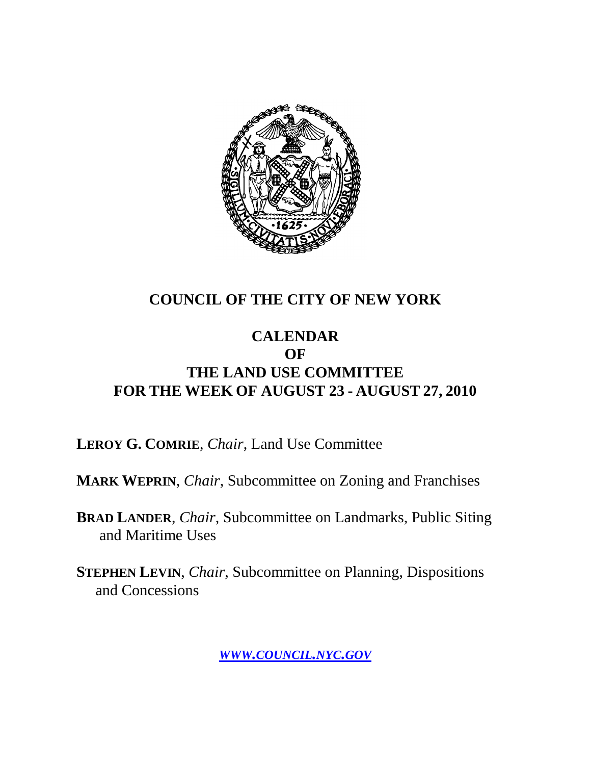

### **COUNCIL OF THE CITY OF NEW YORK**

### **CALENDAR OF THE LAND USE COMMITTEE FOR THE WEEK OF AUGUST 23 - AUGUST 27, 2010**

**LEROY G. COMRIE**, *Chair*, Land Use Committee

**MARK WEPRIN**, *Chair*, Subcommittee on Zoning and Franchises

**BRAD LANDER**, *Chair*, Subcommittee on Landmarks, Public Siting and Maritime Uses

**STEPHEN LEVIN**, *Chair,* Subcommittee on Planning, Dispositions and Concessions

*WWW.COUNCIL.NYC.GOV*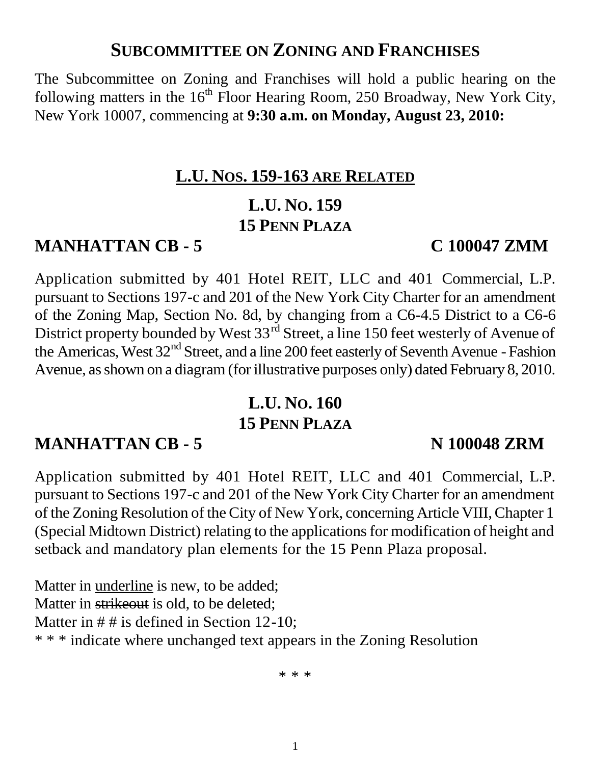### **SUBCOMMITTEE ON ZONING AND FRANCHISES**

The Subcommittee on Zoning and Franchises will hold a public hearing on the following matters in the  $16<sup>th</sup>$  Floor Hearing Room, 250 Broadway, New York City, New York 10007, commencing at **9:30 a.m. on Monday, August 23, 2010:**

### **L.U. NOS. 159-163 ARE RELATED**

### **L.U. NO. 159 15 PENN PLAZA**

### **MANHATTAN CB - 5 C 100047 ZMM**

Application submitted by 401 Hotel REIT, LLC and 401 Commercial, L.P. pursuant to Sections 197-c and 201 of the New York City Charter for an amendment of the Zoning Map, Section No. 8d, by changing from a C6-4.5 District to a C6-6 District property bounded by West 33<sup>rd</sup> Street, a line 150 feet westerly of Avenue of the Americas, West 32<sup>nd</sup> Street, and a line 200 feet easterly of Seventh Avenue - Fashion Avenue, as shown on a diagram (for illustrative purposes only) dated February 8, 2010.

## **L.U. NO. 160 15 PENN PLAZA**

## **MANHATTAN CB - 5 N 100048 ZRM**

Application submitted by 401 Hotel REIT, LLC and 401 Commercial, L.P. pursuant to Sections 197-c and 201 of the New York City Charter for an amendment of the Zoning Resolution of the City of New York, concerning Article VIII, Chapter 1 (Special Midtown District) relating to the applications for modification of height and setback and mandatory plan elements for the 15 Penn Plaza proposal.

Matter in underline is new, to be added; Matter in strikeout is old, to be deleted; Matter in  $\# \#$  is defined in Section 12-10; \* \* \* indicate where unchanged text appears in the Zoning Resolution

\* \* \*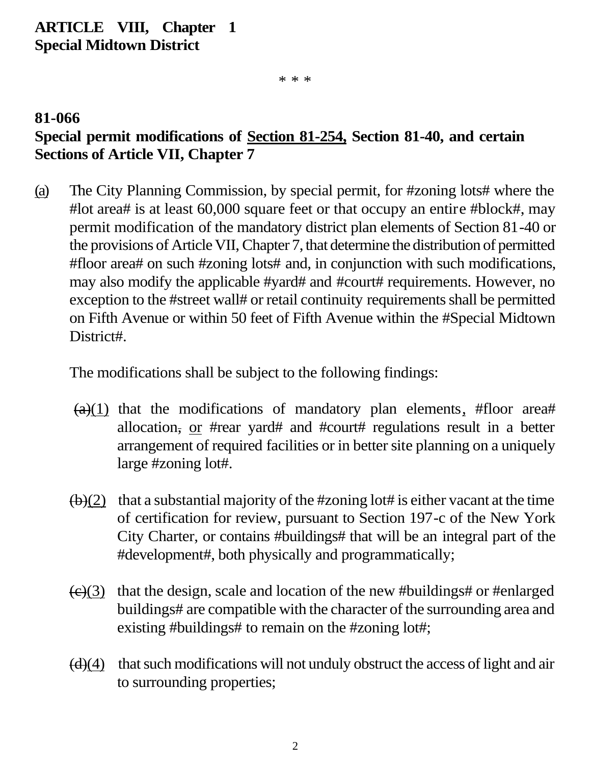### **ARTICLE VIII, Chapter 1 Special Midtown District**

\* \* \*

### **81-066 Special permit modifications of Section 81-254, Section 81-40, and certain Sections of Article VII, Chapter 7**

(a) The City Planning Commission, by special permit, for #zoning lots# where the #lot area# is at least 60,000 square feet or that occupy an entire #block#, may permit modification of the mandatory district plan elements of Section 81-40 or the provisions of Article VII, Chapter 7, that determine the distribution of permitted #floor area# on such #zoning lots# and, in conjunction with such modifications, may also modify the applicable #yard# and #court# requirements. However, no exception to the #street wall# or retail continuity requirements shall be permitted on Fifth Avenue or within 50 feet of Fifth Avenue within the #Special Midtown District#.

The modifications shall be subject to the following findings:

- $(a)(1)$  that the modifications of mandatory plan elements, #floor area# allocation, or #rear yard# and #court# regulations result in a better arrangement of required facilities or in better site planning on a uniquely large #zoning lot#.
- $(b)(2)$  that a substantial majority of the #zoning lot# is either vacant at the time of certification for review, pursuant to Section 197-c of the New York City Charter, or contains #buildings# that will be an integral part of the #development#, both physically and programmatically;
- $\left(\frac{c}{c}\right)$  that the design, scale and location of the new #buildings# or #enlarged buildings# are compatible with the character of the surrounding area and existing #buildings# to remain on the #zoning lot#;
- $(d)(4)$  that such modifications will not unduly obstruct the access of light and air to surrounding properties;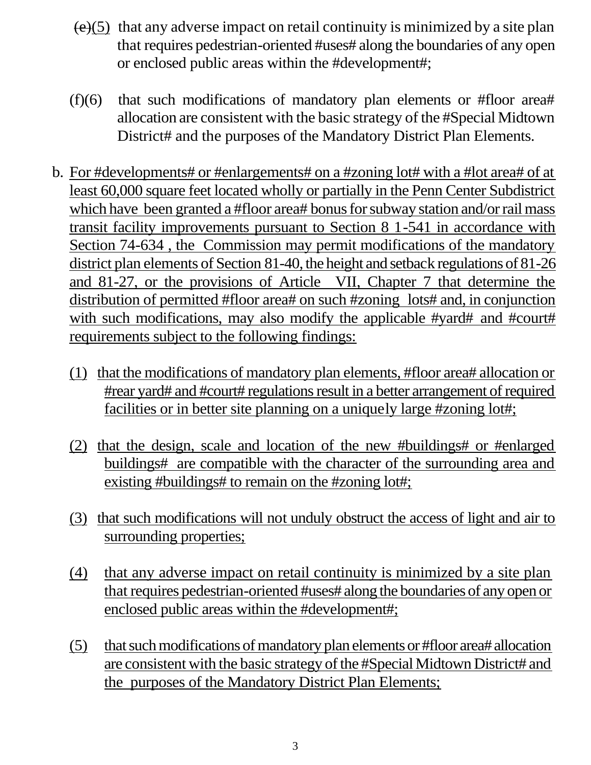- $(e)(5)$  that any adverse impact on retail continuity is minimized by a site plan that requires pedestrian-oriented #uses# along the boundaries of any open or enclosed public areas within the #development#;
- (f)(6) that such modifications of mandatory plan elements or #floor area# allocation are consistent with the basic strategy of the #Special Midtown District# and the purposes of the Mandatory District Plan Elements.
- b. For #developments# or #enlargements# on a #zoning lot# with a #lot area# of at least 60,000 square feet located wholly or partially in the Penn Center Subdistrict which have been granted a #floor area# bonus for subway station and/or rail mass transit facility improvements pursuant to Section 8 1-541 in accordance with Section 74-634 , the Commission may permit modifications of the mandatory district plan elements of Section 81-40, the height and setback regulations of 81-26 and 81-27, or the provisions of Article VII, Chapter 7 that determine the distribution of permitted #floor area# on such #zoning lots# and, in conjunction with such modifications, may also modify the applicable #yard# and #court# requirements subject to the following findings:
	- (1) that the modifications of mandatory plan elements, #floor area# allocation or #rear yard# and #court# regulations result in a better arrangement of required facilities or in better site planning on a uniquely large #zoning lot#;
	- (2) that the design, scale and location of the new #buildings# or #enlarged buildings# are compatible with the character of the surrounding area and existing #buildings# to remain on the #zoning lot#;
	- (3) that such modifications will not unduly obstruct the access of light and air to surrounding properties;
	- (4) that any adverse impact on retail continuity is minimized by a site plan that requires pedestrian-oriented #uses# along the boundaries of any open or enclosed public areas within the #development#;
	- (5) that such modifications of mandatory plan elements or #floor area# allocation are consistent with the basic strategy of the #Special Midtown District# and the purposes of the Mandatory District Plan Elements;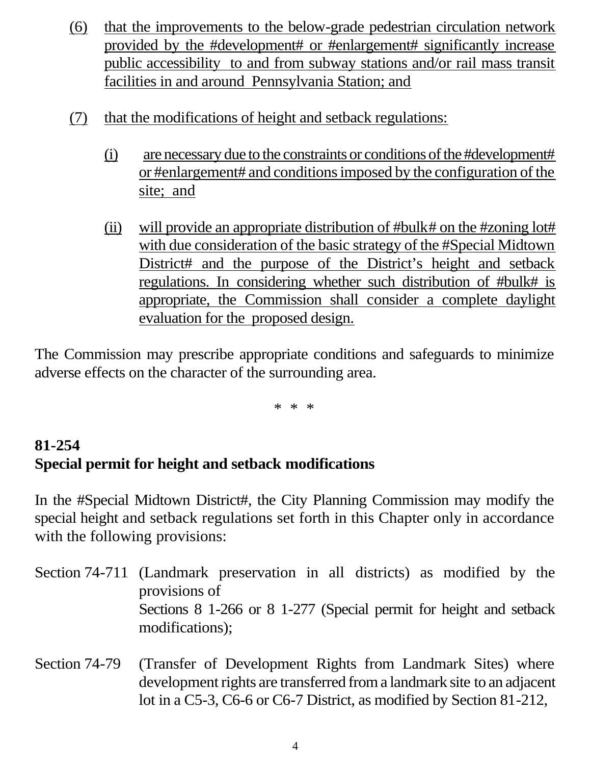- (6) that the improvements to the below-grade pedestrian circulation network provided by the #development# or #enlargement# significantly increase public accessibility to and from subway stations and/or rail mass transit facilities in and around Pennsylvania Station; and
- (7) that the modifications of height and setback regulations:
	- (i) are necessary due to the constraints or conditions of the#development# or #enlargement# and conditions imposed by the configuration of the site; and
	- (ii) will provide an appropriate distribution of #bulk# on the #zoning lot# with due consideration of the basic strategy of the #Special Midtown District# and the purpose of the District's height and setback regulations. In considering whether such distribution of #bulk# is appropriate, the Commission shall consider a complete daylight evaluation for the proposed design.

The Commission may prescribe appropriate conditions and safeguards to minimize adverse effects on the character of the surrounding area.

\* \* \*

### **81-254 Special permit for height and setback modifications**

In the #Special Midtown District#, the City Planning Commission may modify the special height and setback regulations set forth in this Chapter only in accordance with the following provisions:

- Section 74-711 (Landmark preservation in all districts) as modified by the provisions of Sections 8 1-266 or 8 1-277 (Special permit for height and setback modifications);
- Section 74-79 (Transfer of Development Rights from Landmark Sites) where development rights are transferred from a landmark site to an adjacent lot in a C5-3, C6-6 or C6-7 District, as modified by Section 81-212,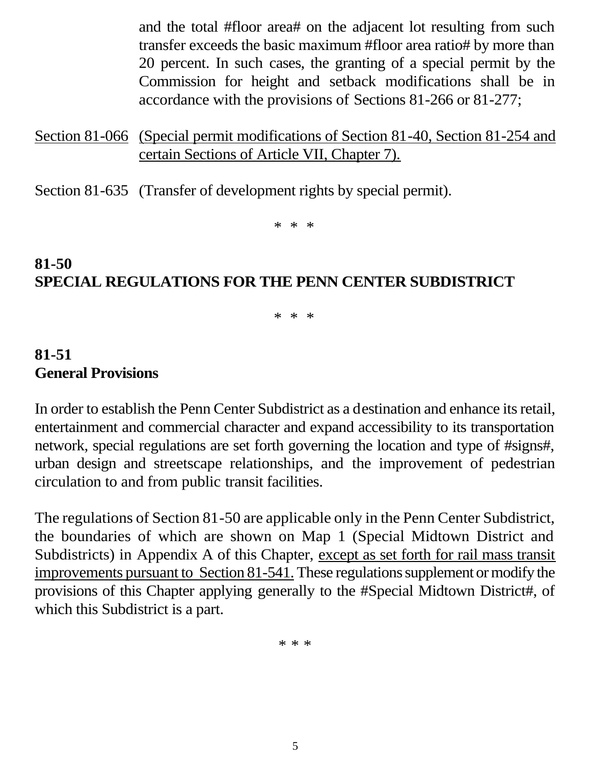and the total #floor area# on the adjacent lot resulting from such transfer exceeds the basic maximum #floor area ratio# by more than 20 percent. In such cases, the granting of a special permit by the Commission for height and setback modifications shall be in accordance with the provisions of Sections 81-266 or 81-277;

Section 81-066 (Special permit modifications of Section 81-40, Section 81-254 and certain Sections of Article VII, Chapter 7).

Section 81-635 (Transfer of development rights by special permit).

\* \* \*

### **81-50 SPECIAL REGULATIONS FOR THE PENN CENTER SUBDISTRICT**

\* \* \*

### **81-51 General Provisions**

In order to establish the Penn Center Subdistrict as a destination and enhance its retail, entertainment and commercial character and expand accessibility to its transportation network, special regulations are set forth governing the location and type of #signs#, urban design and streetscape relationships, and the improvement of pedestrian circulation to and from public transit facilities.

The regulations of Section 81-50 are applicable only in the Penn Center Subdistrict, the boundaries of which are shown on Map 1 (Special Midtown District and Subdistricts) in Appendix A of this Chapter, except as set forth for rail mass transit improvements pursuant to Section 81-541. These regulations supplement or modify the provisions of this Chapter applying generally to the #Special Midtown District#, of which this Subdistrict is a part.

\* \* \*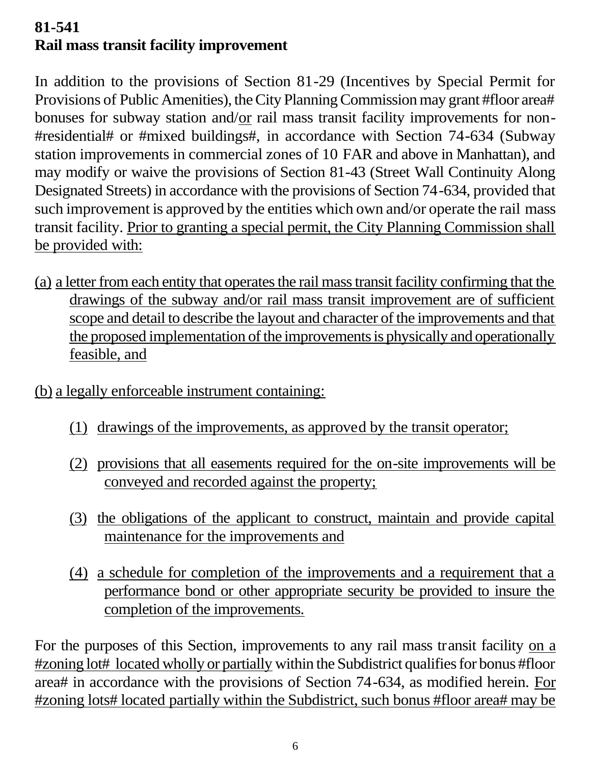## **81-541 Rail mass transit facility improvement**

In addition to the provisions of Section 81-29 (Incentives by Special Permit for Provisions of Public Amenities), the City Planning Commission may grant #floor area# bonuses for subway station and/or rail mass transit facility improvements for non- #residential# or #mixed buildings#, in accordance with Section 74-634 (Subway station improvements in commercial zones of 10 FAR and above in Manhattan), and may modify or waive the provisions of Section 81-43 (Street Wall Continuity Along Designated Streets) in accordance with the provisions of Section 74-634, provided that such improvement is approved by the entities which own and/or operate the rail mass transit facility. Prior to granting a special permit, the City Planning Commission shall be provided with:

- (a) a letter from each entity that operates the rail mass transit facility confirming that the drawings of the subway and/or rail mass transit improvement are of sufficient scope and detail to describe the layout and character of the improvements and that the proposed implementation of the improvements is physically and operationally feasible, and
- (b) a legally enforceable instrument containing:
	- (1) drawings of the improvements, as approved by the transit operator;
	- (2) provisions that all easements required for the on-site improvements will be conveyed and recorded against the property;
	- (3) the obligations of the applicant to construct, maintain and provide capital maintenance for the improvements and
	- (4) a schedule for completion of the improvements and a requirement that a performance bond or other appropriate security be provided to insure the completion of the improvements.

For the purposes of this Section, improvements to any rail mass transit facility on a #zoning lot# located wholly or partially within the Subdistrict qualifies for bonus #floor area# in accordance with the provisions of Section 74-634, as modified herein. For #zoning lots# located partially within the Subdistrict, such bonus #floor area# may be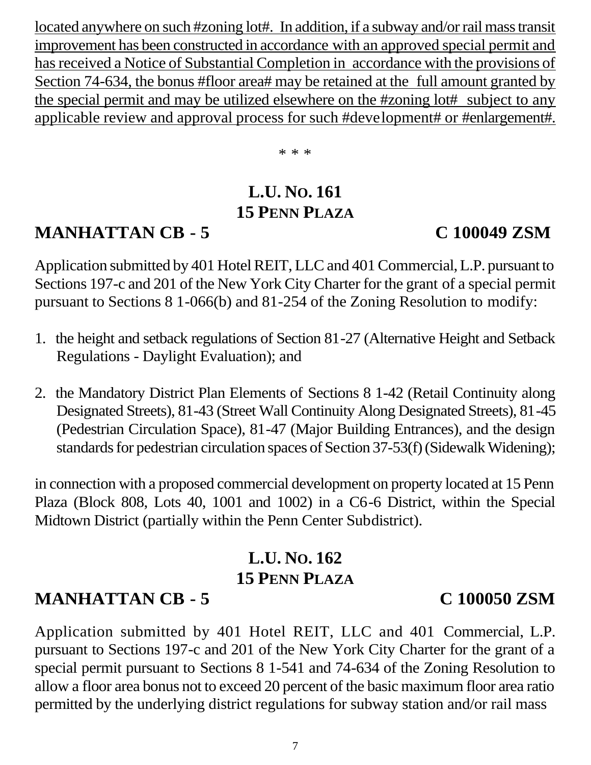located anywhere on such #zoning lot#. In addition, if a subway and/or rail mass transit improvement has been constructed in accordance with an approved special permit and has received a Notice of Substantial Completion in accordance with the provisions of Section 74-634, the bonus #floor area# may be retained at the full amount granted by the special permit and may be utilized elsewhere on the #zoning lot# subject to any applicable review and approval process for such #development# or #enlargement#.

\* \* \*

## **L.U. NO. 161 15 PENN PLAZA**

## **MANHATTAN CB - 5 C 100049 ZSM**

Application submitted by 401 Hotel REIT, LLC and 401 Commercial, L.P. pursuant to Sections 197-c and 201 of the New York City Charter for the grant of a special permit pursuant to Sections 8 1-066(b) and 81-254 of the Zoning Resolution to modify:

- 1. the height and setback regulations of Section 81-27 (Alternative Height and Setback Regulations - Daylight Evaluation); and
- 2. the Mandatory District Plan Elements of Sections 8 1-42 (Retail Continuity along Designated Streets), 81-43 (Street Wall Continuity Along Designated Streets), 81-45 (Pedestrian Circulation Space), 81-47 (Major Building Entrances), and the design standards for pedestrian circulation spaces of Section 37-53(f) (Sidewalk Widening);

in connection with a proposed commercial development on property located at 15 Penn Plaza (Block 808, Lots 40, 1001 and 1002) in a C6-6 District, within the Special Midtown District (partially within the Penn Center Subdistrict).

### **L.U. NO. 162 15 PENN PLAZA**

## **MANHATTAN CB - 5 C 100050 ZSM**

Application submitted by 401 Hotel REIT, LLC and 401 Commercial, L.P. pursuant to Sections 197-c and 201 of the New York City Charter for the grant of a special permit pursuant to Sections 8 1-541 and 74-634 of the Zoning Resolution to allow a floor area bonus not to exceed 20 percent of the basic maximum floor area ratio permitted by the underlying district regulations for subway station and/or rail mass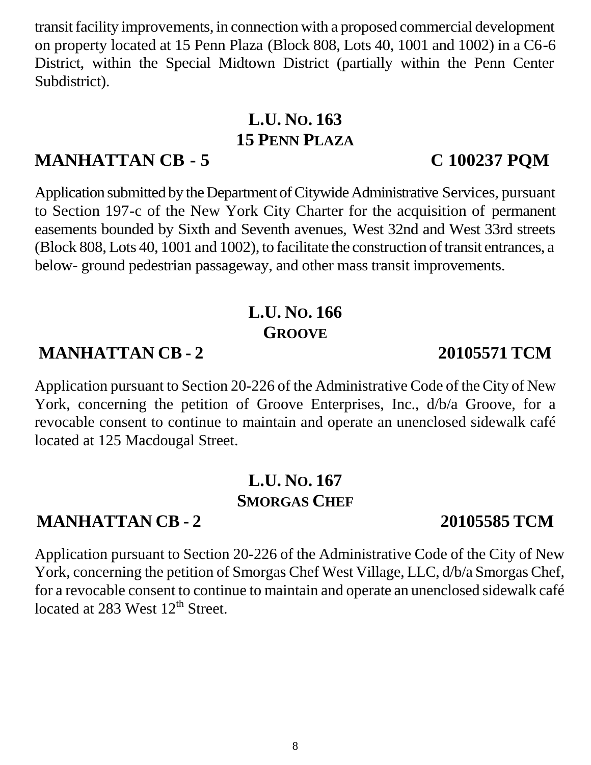transit facility improvements, in connection with a proposed commercial development on property located at 15 Penn Plaza (Block 808, Lots 40, 1001 and 1002) in a C6-6 District, within the Special Midtown District (partially within the Penn Center Subdistrict).

## **L.U. NO. 163 15 PENN PLAZA**

### **MANHATTAN CB - 5 C 100237 PQM**

Application submitted by the Department of Citywide Administrative Services, pursuant to Section 197-c of the New York City Charter for the acquisition of permanent easements bounded by Sixth and Seventh avenues, West 32nd and West 33rd streets (Block 808, Lots 40, 1001 and 1002), to facilitate the construction of transit entrances, a below- ground pedestrian passageway, and other mass transit improvements.

## **L.U. NO. 166 GROOVE**

## **MANHATTAN CB - 2 20105571 TCM**

Application pursuant to Section 20-226 of the Administrative Code of the City of New York, concerning the petition of Groove Enterprises, Inc., d/b/a Groove, for a revocable consent to continue to maintain and operate an unenclosed sidewalk café located at 125 Macdougal Street.

### **L.U. NO. 167 SMORGAS CHEF**

### **MANHATTAN CB - 2 20105585 TCM**

Application pursuant to Section 20-226 of the Administrative Code of the City of New York, concerning the petition of Smorgas Chef West Village, LLC, d/b/a Smorgas Chef, for a revocable consent to continue to maintain and operate an unenclosed sidewalk café located at 283 West 12<sup>th</sup> Street.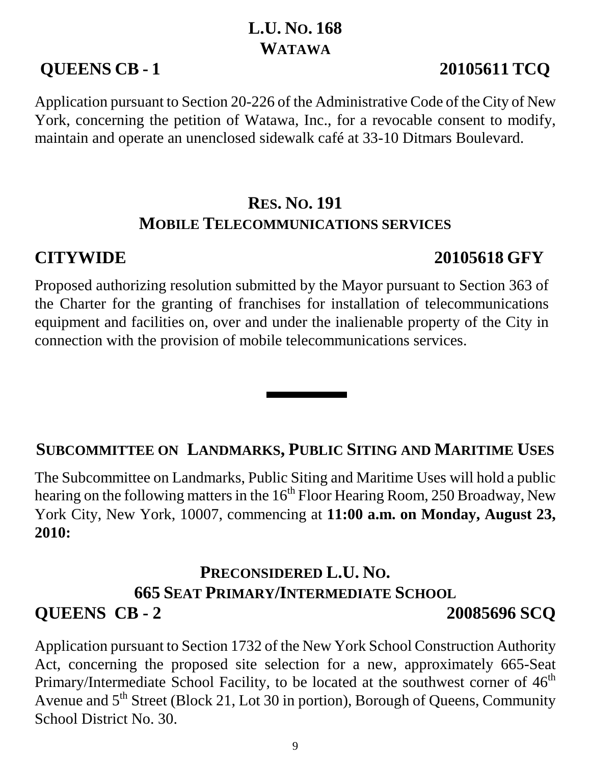## **L.U. NO. 168 WATAWA**

## **QUEENS CB - 1 20105611 TCQ**

Application pursuant to Section 20-226 of the Administrative Code of the City of New York, concerning the petition of Watawa, Inc., for a revocable consent to modify, maintain and operate an unenclosed sidewalk café at 33-10 Ditmars Boulevard.

## **RES. NO. 191 MOBILE TELECOMMUNICATIONS SERVICES**

## **CITYWIDE 20105618 GFY**

Proposed authorizing resolution submitted by the Mayor pursuant to Section 363 of the Charter for the granting of franchises for installation of telecommunications equipment and facilities on, over and under the inalienable property of the City in connection with the provision of mobile telecommunications services.

## **SUBCOMMITTEE ON LANDMARKS, PUBLIC SITING AND MARITIME USES**

The Subcommittee on Landmarks, Public Siting and Maritime Uses will hold a public hearing on the following matters in the  $16<sup>th</sup>$  Floor Hearing Room, 250 Broadway, New York City, New York, 10007, commencing at **11:00 a.m. on Monday, August 23, 2010:**

## **PRECONSIDERED L.U. NO. 665 SEAT PRIMARY/INTERMEDIATE SCHOOL QUEENS CB - 2 20085696 SCQ**

Application pursuant to Section 1732 of the New York School Construction Authority Act, concerning the proposed site selection for a new, approximately 665-Seat Primary/Intermediate School Facility, to be located at the southwest corner of  $46<sup>th</sup>$ Avenue and  $5<sup>th</sup>$  Street (Block 21, Lot 30 in portion), Borough of Queens, Community School District No. 30.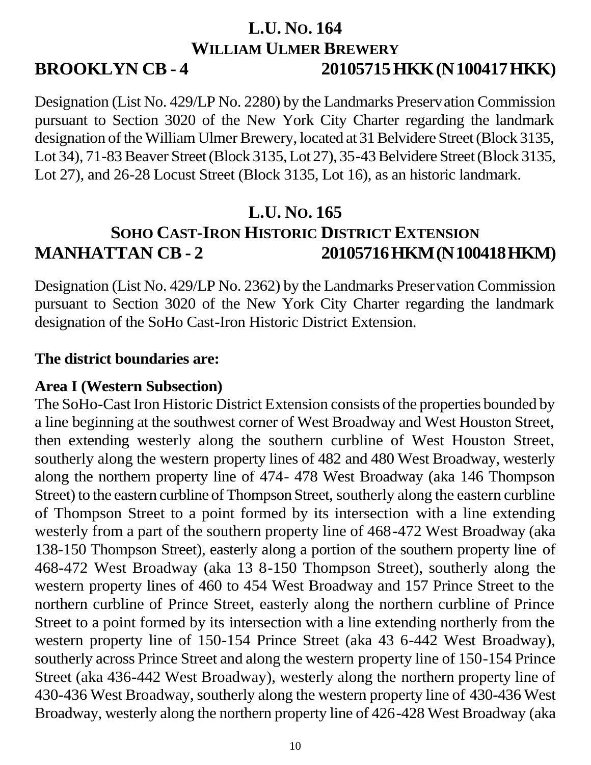### **L.U. NO. 164 WILLIAM ULMER BREWERY BROOKLYN CB - 4 20105715HKK(N100417HKK)**

Designation (List No. 429/LP No. 2280) by the Landmarks Preservation Commission pursuant to Section 3020 of the New York City Charter regarding the landmark designation of the William Ulmer Brewery, located at 31 Belvidere Street (Block 3135, Lot 34), 71-83 Beaver Street (Block 3135, Lot 27), 35-43 Belvidere Street (Block 3135, Lot 27), and 26-28 Locust Street (Block 3135, Lot 16), as an historic landmark.

## **L.U. NO. 165 SOHO CAST-IRON HISTORIC DISTRICT EXTENSION MANHATTAN CB - 2 20105716HKM(N100418HKM)**

Designation (List No. 429/LP No. 2362) by the Landmarks Preservation Commission pursuant to Section 3020 of the New York City Charter regarding the landmark designation of the SoHo Cast-Iron Historic District Extension.

### **The district boundaries are:**

### **Area I (Western Subsection)**

The SoHo-Cast Iron Historic District Extension consists of the properties bounded by a line beginning at the southwest corner of West Broadway and West Houston Street, then extending westerly along the southern curbline of West Houston Street, southerly along the western property lines of 482 and 480 West Broadway, westerly along the northern property line of 474- 478 West Broadway (aka 146 Thompson Street) to the eastern curbline of Thompson Street, southerly along the eastern curbline of Thompson Street to a point formed by its intersection with a line extending westerly from a part of the southern property line of 468-472 West Broadway (aka 138-150 Thompson Street), easterly along a portion of the southern property line of 468-472 West Broadway (aka 13 8-150 Thompson Street), southerly along the western property lines of 460 to 454 West Broadway and 157 Prince Street to the northern curbline of Prince Street, easterly along the northern curbline of Prince Street to a point formed by its intersection with a line extending northerly from the western property line of 150-154 Prince Street (aka 43 6-442 West Broadway), southerly across Prince Street and along the western property line of 150-154 Prince Street (aka 436-442 West Broadway), westerly along the northern property line of 430-436 West Broadway, southerly along the western property line of 430-436 West Broadway, westerly along the northern property line of 426-428 West Broadway (aka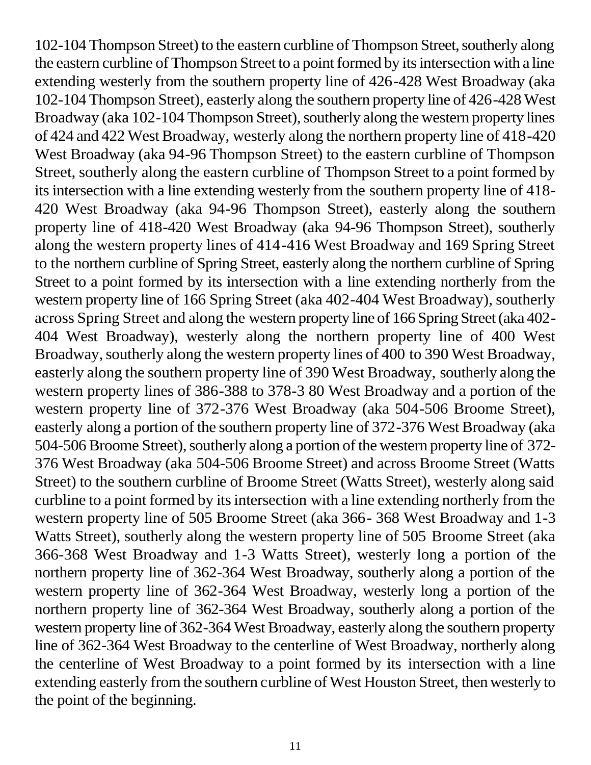102-104 Thompson Street) to the eastern curbline of Thompson Street, southerly along the eastern curbline of Thompson Street to a point formed by its intersection with a line extending westerly from the southern property line of 426-428 West Broadway (aka 102-104 Thompson Street), easterly along the southern property line of 426-428 West Broadway (aka 102-104 Thompson Street), southerly along the western property lines of 424 and 422 West Broadway, westerly along the northern property line of 418-420 West Broadway (aka 94-96 Thompson Street) to the eastern curbline of Thompson Street, southerly along the eastern curbline of Thompson Street to a point formed by its intersection with a line extending westerly from the southern property line of 418- 420 West Broadway (aka 94-96 Thompson Street), easterly along the southern property line of 418-420 West Broadway (aka 94-96 Thompson Street), southerly along the western property lines of 414-416 West Broadway and 169 Spring Street to the northern curbline of Spring Street, easterly along the northern curbline of Spring Street to a point formed by its intersection with a line extending northerly from the western property line of 166 Spring Street (aka 402-404 West Broadway), southerly across Spring Street and along the western property line of 166 Spring Street (aka 402- 404 West Broadway), westerly along the northern property line of 400 West Broadway, southerly along the western property lines of 400 to 390 West Broadway, easterly along the southern property line of 390 West Broadway, southerly along the western property lines of 386-388 to 378-3 80 West Broadway and a portion of the western property line of 372-376 West Broadway (aka 504-506 Broome Street), easterly along a portion of the southern property line of 372-376 West Broadway (aka 504-506 Broome Street), southerly along a portion of the western property line of 372- 376 West Broadway (aka 504-506 Broome Street) and across Broome Street (Watts Street) to the southern curbline of Broome Street (Watts Street), westerly along said curbline to a point formed by its intersection with a line extending northerly from the western property line of 505 Broome Street (aka 366- 368 West Broadway and 1-3 Watts Street), southerly along the western property line of 505 Broome Street (aka 366-368 West Broadway and 1-3 Watts Street), westerly long a portion of the northern property line of 362-364 West Broadway, southerly along a portion of the western property line of 362-364 West Broadway, westerly long a portion of the northern property line of 362-364 West Broadway, southerly along a portion of the western property line of 362-364 West Broadway, easterly along the southern property line of 362-364 West Broadway to the centerline of West Broadway, northerly along the centerline of West Broadway to a point formed by its intersection with a line extending easterly from the southern curbline of West Houston Street, then westerly to the point of the beginning.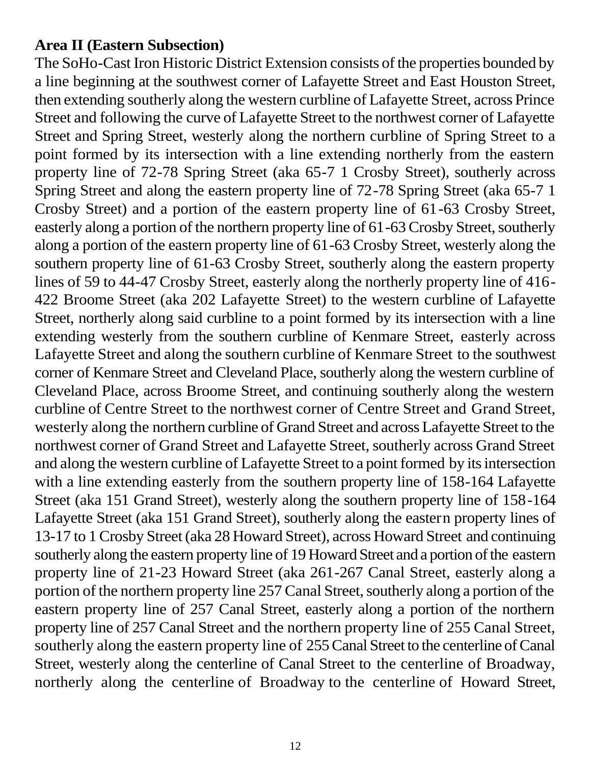### **Area II (Eastern Subsection)**

The SoHo-Cast Iron Historic District Extension consists of the properties bounded by a line beginning at the southwest corner of Lafayette Street and East Houston Street, then extending southerly along the western curbline of Lafayette Street, across Prince Street and following the curve of Lafayette Street to the northwest corner of Lafayette Street and Spring Street, westerly along the northern curbline of Spring Street to a point formed by its intersection with a line extending northerly from the eastern property line of 72-78 Spring Street (aka 65-7 1 Crosby Street), southerly across Spring Street and along the eastern property line of 72-78 Spring Street (aka 65-7 1 Crosby Street) and a portion of the eastern property line of 61-63 Crosby Street, easterly along a portion of the northern property line of 61-63 Crosby Street, southerly along a portion of the eastern property line of 61-63 Crosby Street, westerly along the southern property line of 61-63 Crosby Street, southerly along the eastern property lines of 59 to 44-47 Crosby Street, easterly along the northerly property line of 416- 422 Broome Street (aka 202 Lafayette Street) to the western curbline of Lafayette Street, northerly along said curbline to a point formed by its intersection with a line extending westerly from the southern curbline of Kenmare Street, easterly across Lafayette Street and along the southern curbline of Kenmare Street to the southwest corner of Kenmare Street and Cleveland Place, southerly along the western curbline of Cleveland Place, across Broome Street, and continuing southerly along the western curbline of Centre Street to the northwest corner of Centre Street and Grand Street, westerly along the northern curbline of Grand Street and across Lafayette Street to the northwest corner of Grand Street and Lafayette Street, southerly across Grand Street and along the western curbline of Lafayette Street to a point formed by its intersection with a line extending easterly from the southern property line of 158-164 Lafayette Street (aka 151 Grand Street), westerly along the southern property line of 158-164 Lafayette Street (aka 151 Grand Street), southerly along the eastern property lines of 13-17 to 1 Crosby Street (aka 28 Howard Street), across Howard Street and continuing southerly along the eastern property line of 19 Howard Street and a portion of the eastern property line of 21-23 Howard Street (aka 261-267 Canal Street, easterly along a portion of the northern property line 257 Canal Street, southerly along a portion of the eastern property line of 257 Canal Street, easterly along a portion of the northern property line of 257 Canal Street and the northern property line of 255 Canal Street, southerly along the eastern property line of 255 Canal Street to the centerline of Canal Street, westerly along the centerline of Canal Street to the centerline of Broadway, northerly along the centerline of Broadway to the centerline of Howard Street,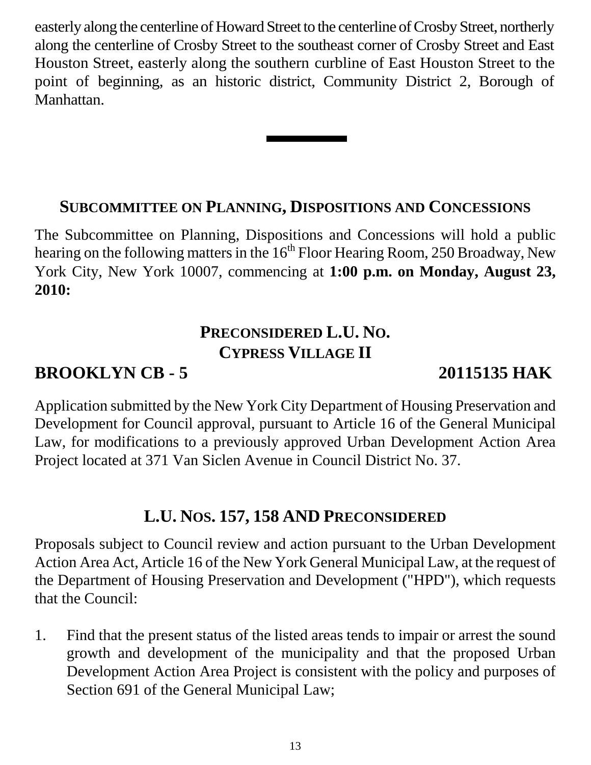easterly along the centerline of Howard Street to the centerline of Crosby Street, northerly along the centerline of Crosby Street to the southeast corner of Crosby Street and East Houston Street, easterly along the southern curbline of East Houston Street to the point of beginning, as an historic district, Community District 2, Borough of Manhattan.

### **SUBCOMMITTEE ON PLANNING, DISPOSITIONS AND CONCESSIONS**

The Subcommittee on Planning, Dispositions and Concessions will hold a public hearing on the following matters in the  $16<sup>th</sup>$  Floor Hearing Room, 250 Broadway, New York City, New York 10007, commencing at **1:00 p.m. on Monday, August 23, 2010:**

## **PRECONSIDERED L.U. NO. CYPRESS VILLAGE II**

### **BROOKLYN CB - 5 20115135 HAK**

Application submitted by the New York City Department of Housing Preservation and Development for Council approval, pursuant to Article 16 of the General Municipal Law, for modifications to a previously approved Urban Development Action Area Project located at 371 Van Siclen Avenue in Council District No. 37.

### **L.U. NOS. 157, 158 AND PRECONSIDERED**

Proposals subject to Council review and action pursuant to the Urban Development Action Area Act, Article 16 of the New York General Municipal Law, at the request of the Department of Housing Preservation and Development ("HPD"), which requests that the Council:

1. Find that the present status of the listed areas tends to impair or arrest the sound growth and development of the municipality and that the proposed Urban Development Action Area Project is consistent with the policy and purposes of Section 691 of the General Municipal Law;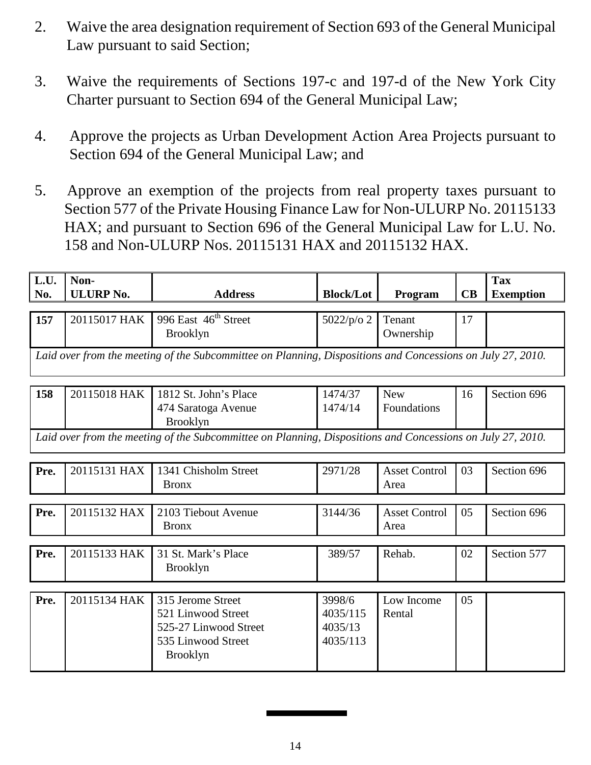- 2. Waive the area designation requirement of Section 693 of the General Municipal Law pursuant to said Section;
- 3. Waive the requirements of Sections 197-c and 197-d of the New York City Charter pursuant to Section 694 of the General Municipal Law;
- 4. Approve the projects as Urban Development Action Area Projects pursuant to Section 694 of the General Municipal Law; and
- 5. Approve an exemption of the projects from real property taxes pursuant to Section 577 of the Private Housing Finance Law for Non-ULURP No. 20115133 HAX; and pursuant to Section 696 of the General Municipal Law for L.U. No. 158 and Non-ULURP Nos. 20115131 HAX and 20115132 HAX.

| L.U.<br>No.                                                                                                | Non-<br><b>ULURP No.</b> | <b>Address</b>                                                                                            | <b>Block/Lot</b>                          | Program                      | CB | <b>Tax</b><br><b>Exemption</b> |
|------------------------------------------------------------------------------------------------------------|--------------------------|-----------------------------------------------------------------------------------------------------------|-------------------------------------------|------------------------------|----|--------------------------------|
|                                                                                                            |                          |                                                                                                           |                                           |                              |    |                                |
| 157                                                                                                        | 20115017 HAK             | 996 East 46 <sup>th</sup> Street<br><b>Brooklyn</b>                                                       | 5022/p/o 2                                | Tenant<br>Ownership          | 17 |                                |
| Laid over from the meeting of the Subcommittee on Planning, Dispositions and Concessions on July 27, 2010. |                          |                                                                                                           |                                           |                              |    |                                |
| 158                                                                                                        | 20115018 HAK             | 1812 St. John's Place<br>474 Saratoga Avenue<br><b>Brooklyn</b>                                           | 1474/37<br>1474/14                        | <b>New</b><br>Foundations    | 16 | Section 696                    |
| Laid over from the meeting of the Subcommittee on Planning, Dispositions and Concessions on July 27, 2010. |                          |                                                                                                           |                                           |                              |    |                                |
| Pre.                                                                                                       | 20115131 HAX             | 1341 Chisholm Street<br><b>Bronx</b>                                                                      | 2971/28                                   | <b>Asset Control</b><br>Area | 03 | Section 696                    |
| Pre.                                                                                                       | 20115132 HAX             | 2103 Tiebout Avenue<br><b>Bronx</b>                                                                       | 3144/36                                   | <b>Asset Control</b><br>Area | 05 | Section 696                    |
| Pre.                                                                                                       | 20115133 HAK             | 31 St. Mark's Place<br><b>Brooklyn</b>                                                                    | 389/57                                    | Rehab.                       | 02 | Section 577                    |
| Pre.                                                                                                       | 20115134 HAK             | 315 Jerome Street<br>521 Linwood Street<br>525-27 Linwood Street<br>535 Linwood Street<br><b>Brooklyn</b> | 3998/6<br>4035/115<br>4035/13<br>4035/113 | Low Income<br>Rental         | 05 |                                |